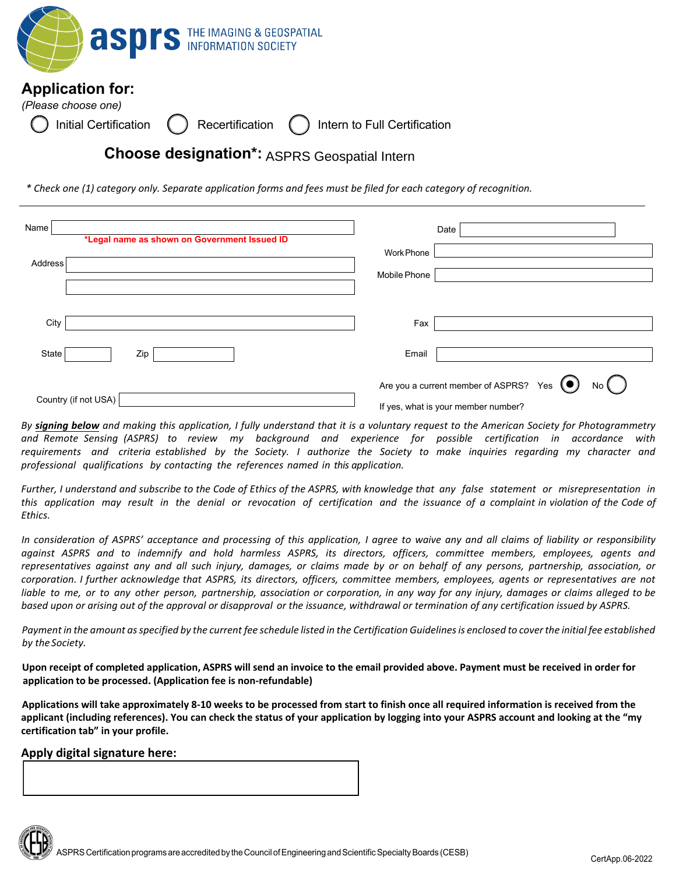

*\* Check one (1) category only. Separate application forms and fees must be filed for each category of recognition.*

| Name<br>*Legal name as shown on Government Issued ID<br>Address | Date<br>Work Phone<br>Mobile Phone                                                                                 |  |
|-----------------------------------------------------------------|--------------------------------------------------------------------------------------------------------------------|--|
| City                                                            | Fax                                                                                                                |  |
| State<br>Zip                                                    | Email                                                                                                              |  |
| Country (if not USA)                                            | Are you a current member of ASPRS? Yes $\left( \bullet \right)$<br>$No$ $($<br>If yes, what is your member number? |  |

By signing below and making this application, I fully understand that it is a voluntary request to the American Society for Photogrammetry *and Remote Sensing (ASPRS) to review my background and experience for possible certification in accordance with*  requirements and criteria established by the Society. I authorize the Society to make inquiries regarding my character and *professional qualifications by contacting the references named in this application.* 

Further, I understand and subscribe to the Code of Ethics of the ASPRS, with knowledge that any false statement or misrepresentation in *this application may result in the denial or revocation of certification and the issuance of a complaint in violation of the Code of Ethics.* 

In consideration of ASPRS' acceptance and processing of this application, I agree to waive any and all claims of liability or responsibility against ASPRS and to indemnify and hold harmless ASPRS, its directors, officers, committee members, employees, agents and representatives against any and all such injury, damages, or claims made by or on behalf of any persons, partnership, association, or *corporation. I further acknowledge that ASPRS, its directors, officers, committee members, employees, agents or representatives are not*  liable to me, or to any other person, partnership, association or corporation, in any way for any injury, damages or claims alleged to be *based upon or arising out of the approval or disapproval or the issuance, withdrawal or termination of any certification issued by ASPRS.* 

Payment in the amount as specified by the current fee schedule listed in the Certification Guidelines is enclosed to cover the initial fee established *by the Society.* 

**Upon receipt of completed application, ASPRS will send an invoice to the email provided above. Payment must be received in order for application to be processed. (Application fee is non-refundable)** 

**Applications will take approximately 8-10 weeks to be processed from start to finish once all required information is received from the applicant (including references). You can check the status of your application by logging into your ASPRS account and looking at the "my certification tab" in your profile.**

#### **Apply digital signature here:**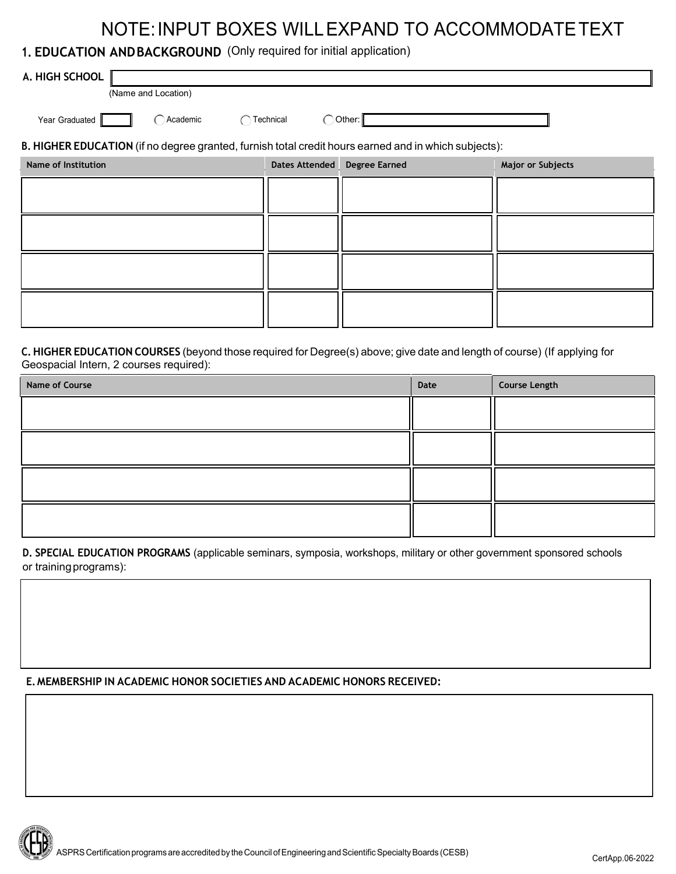## NOTE:INPUT BOXES WILLEXPAND TO ACCOMMODATETEXT

### **1. EDUCATION ANDBACKGROUND** (Only required for initial application)

| A. HIGH SCHOOL<br>(Name and Location)                                                                |                              |            |                          |  |  |
|------------------------------------------------------------------------------------------------------|------------------------------|------------|--------------------------|--|--|
| $\bigcap$ Academic<br>Year Graduated<br>$\subset$                                                    | Technical                    | ) Other: ∥ |                          |  |  |
| B. HIGHER EDUCATION (if no degree granted, furnish total credit hours earned and in which subjects): |                              |            |                          |  |  |
| <b>Name of Institution</b>                                                                           | Dates Attended Degree Earned |            | <b>Major or Subjects</b> |  |  |
|                                                                                                      |                              |            |                          |  |  |
|                                                                                                      |                              |            |                          |  |  |
|                                                                                                      |                              |            |                          |  |  |
|                                                                                                      |                              |            |                          |  |  |

#### **C. HIGHER EDUCATION COURSES** (beyond those required for Degree(s) above; give date and length of course) (If applying for Geospacial Intern, 2 courses required):

| Name of Course | Date | <b>Course Length</b> |
|----------------|------|----------------------|
|                |      |                      |
|                |      |                      |
|                |      |                      |
|                |      |                      |

**D. SPECIAL EDUCATION PROGRAMS** (applicable seminars, symposia, workshops, military or other government sponsored schools or trainingprograms):

#### **E. MEMBERSHIP IN ACADEMIC HONOR SOCIETIES AND ACADEMIC HONORS RECEIVED:**

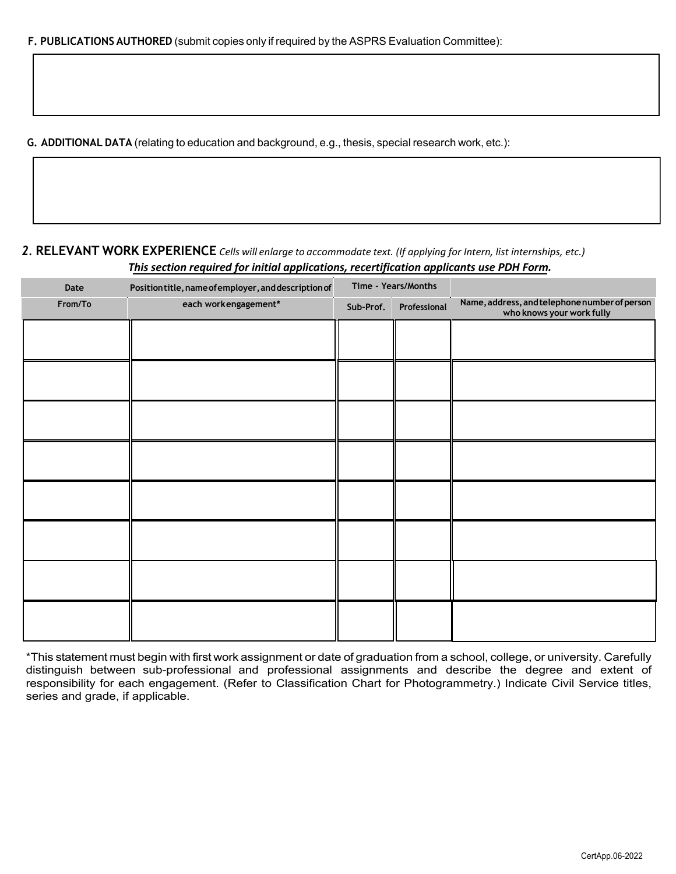**G. ADDITIONAL DATA** (relating to education and background, e.g., thesis, special research work, etc.):

#### *2.* **RELEVANT WORK EXPERIENCE** *Cells will enlarge to accommodate text. (If applying for Intern, list internships, etc.) This section required for initial applications, recertification applicants use PDH Form.*

| Date    | Position title, name of employer, and description of | Time - Years/Months |              |                                                                            |
|---------|------------------------------------------------------|---------------------|--------------|----------------------------------------------------------------------------|
| From/To | each workengagement*                                 | Sub-Prof.           | Professional | Name, address, and telephone number of person<br>who knows your work fully |
|         |                                                      |                     |              |                                                                            |
|         |                                                      |                     |              |                                                                            |
|         |                                                      |                     |              |                                                                            |
|         |                                                      |                     |              |                                                                            |
|         |                                                      |                     |              |                                                                            |
|         |                                                      |                     |              |                                                                            |
|         |                                                      |                     |              |                                                                            |
|         |                                                      |                     |              |                                                                            |
|         |                                                      |                     |              |                                                                            |
|         |                                                      |                     |              |                                                                            |
|         |                                                      |                     |              |                                                                            |

\*This statement must begin with first work assignment or date of graduation from a school, college, or university. Carefully distinguish between sub-professional and professional assignments and describe the degree and extent of responsibility for each engagement. (Refer to Classification Chart for Photogrammetry.) Indicate Civil Service titles, series and grade, if applicable.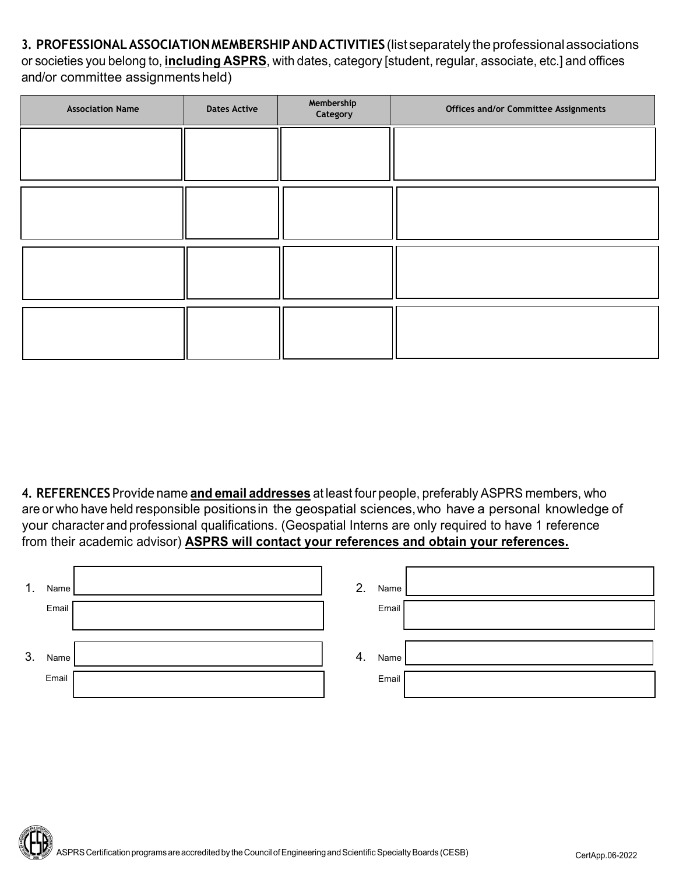**3. PROFESSIONALASSOCIATIONMEMBERSHIPANDACTIVITIES** (list separately theprofessionalassociations or societies you belong to, **including ASPRS**, with dates, category [student, regular, associate, etc.] and offices and/or committee assignmentsheld)

| <b>Association Name</b> | <b>Dates Active</b> | Membership<br>Category | Offices and/or Committee Assignments |
|-------------------------|---------------------|------------------------|--------------------------------------|
|                         |                     |                        |                                      |
|                         |                     |                        |                                      |
|                         |                     |                        |                                      |
|                         |                     |                        |                                      |

**4. REFERENCES** Provide name **and email addresses** at least four people, preferably ASPRS members, who are or who have held responsible positionsin the geospatial sciences,who have a personal knowledge of your character and professional qualifications. (Geospatial Interns are only required to have 1 reference from their academic advisor) **ASPRS will contact your references and obtain your references.**

| $\mathbf{1}$ . | Name  | 2. | Name  |  |
|----------------|-------|----|-------|--|
|                | Email |    | Email |  |
| 3.             | Name  | 4. | Name  |  |
|                | Email |    | Email |  |